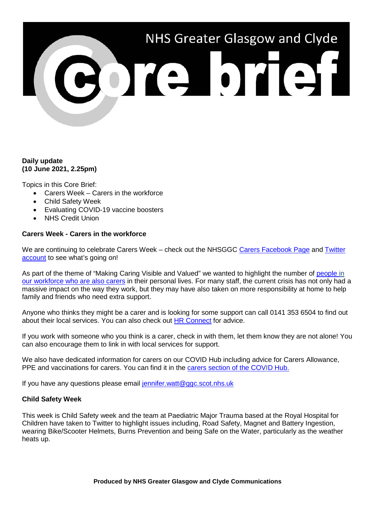# NHS Greater Glasgow and Clyde

# **Daily update (10 June 2021, 2.25pm)**

Topics in this Core Brief:

- Carers Week Carers in the workforce
- Child Safety Week
- Evaluating COVID-19 vaccine boosters
- NHS Credit Union

# **Carers Week - Carers in the workforce**

We are continuing to celebrate Carers Week – check out the NHSGGC [Carers Facebook Page](https://www.facebook.com/NHSGGCCarers) and Twitter [account](https://twitter.com/nhsggccarers) to see what's going on!

As part of the theme of "Making Caring Visible and Valued" we wanted to highlight the number of people in [our workforce who are also carers](https://www.youtube.com/watch?v=e5-2wjwnjhw&list=PLmuRxztsS0NwLjikthLPohtCzOREkudBE&index=7) in their personal lives. For many staff, the current crisis has not only had a massive impact on the way they work, but they may have also taken on more responsibility at home to help family and friends who need extra support.

Anyone who thinks they might be a carer and is looking for some support can call 0141 353 6504 to find out about their local services. You can also check out [HR Connect](https://www.nhsggc.org.uk/working-with-us/hr-connect/carers/) for advice.

If you work with someone who you think is a carer, check in with them, let them know they are not alone! You can also encourage them to link in with local services for support.

We also have dedicated information for carers on our COVID Hub including advice for Carers Allowance, PPE and vaccinations for carers. You can find it in the [carers section of the COVID Hub.](https://www.nhsggc.org.uk/your-health/health-issues/covid-19-coronavirus/for-the-public-patients/local-support-services/carers-info/)

If you have any questions please email [jennifer.watt@ggc.scot.nhs.uk](mailto:jennifer.watt@ggc.scot.nhs.uk)

# **Child Safety Week**

This week is Child Safety week and the team at Paediatric Major Trauma based at the Royal Hospital for Children have taken to Twitter to highlight issues including, Road Safety, Magnet and Battery Ingestion, wearing Bike/Scooter Helmets, Burns Prevention and being Safe on the Water, particularly as the weather heats up.

**Produced by NHS Greater Glasgow and Clyde Communications**